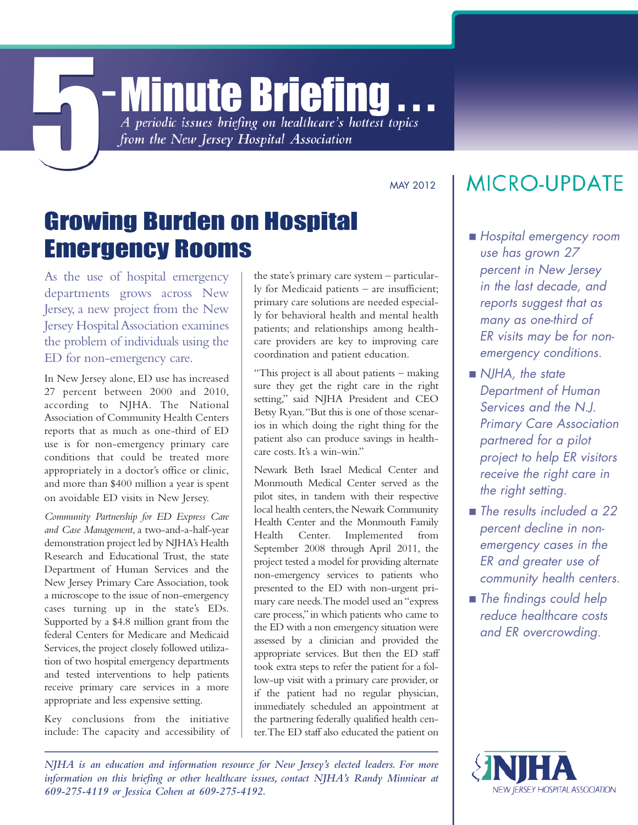# **- Minute Briefing** A periodic issues briefing on healthcare's hottest topics

from the New Jersey Hospital Association

MAY 2012

# Growing Burden on Hospital Emergency Rooms

As the use of hospital emergency departments grows across New Jersey, a new project from the New Jersey HospitalAssociation examines the problem of individuals using the ED for non-emergency care.

In New Jersey alone, ED use has increased 27 percent between 2000 and 2010, according to NJHA. The National Association of Community Health Centers reports that as much as one-third of ED use is for non-emergency primary care conditions that could be treated more appropriately in a doctor's office or clinic, and more than \$400 million a year is spent on avoidable ED visits in New Jersey.

*Community Partnership for ED Express Care and Case Management*,a two-and-a-half-year demonstration project led by NJHA's Health Research and Educational Trust, the state Department of Human Services and the New Jersey Primary Care Association, took a microscope to the issue of non-emergency cases turning up in the state's EDs. Supported by a \$4.8 million grant from the federal Centers for Medicare and Medicaid Services, the project closely followed utilization of two hospital emergency departments and tested interventions to help patients receive primary care services in a more appropriate and less expensive setting.

Key conclusions from the initiative include: The capacity and accessibility of the state's primary care system – particularly for Medicaid patients – are insufficient; primary care solutions are needed especially for behavioral health and mental health patients; and relationships among healthcare providers are key to improving care coordination and patient education.

"This project is all about patients – making sure they get the right care in the right setting," said NJHA President and CEO Betsy Ryan."But this is one of those scenarios in which doing the right thing for the patient also can produce savings in healthcare costs. It's a win-win."

Newark Beth Israel Medical Center and Monmouth Medical Center served as the pilot sites, in tandem with their respective local health centers, the Newark Community Health Center and the Monmouth Family Health Center. Implemented from September 2008 through April 2011, the project tested a model for providing alternate non-emergency services to patients who presented to the ED with non-urgent primary care needs.The model used an "express care process," in which patients who came to the ED with a non emergency situation were assessed by a clinician and provided the appropriate services. But then the ED staff took extra steps to refer the patient for a follow-up visit with a primary care provider, or if the patient had no regular physician, immediately scheduled an appointment at the partnering federally qualified health center.The ED staff also educated the patient on

## **MICRO-UPDATE**

- <sup>g</sup> *Hospital emergency room use has grown 27 percent in New Jersey in the last decade, and reports suggest that as many as one-third of ER visits may be for nonemergency conditions.*
- <sup>g</sup> *NJHA, the state Department of Human Services and the N.J. Primary Care Association partnered for a pilot project to help ER visitors receive the right care in the right setting.*
- *The results included a 22 percent decline in nonemergency cases in the ER and greater use of community health centers.*
- *The findings could help reduce healthcare costs and ER overcrowding.*

*NJHA is an education and information resource for New Jersey's elected leaders. For more information on this briefing or other healthcare issues, contact NJHA's Randy Minniear at 609-275-4119 or Jessica Cohen at 609-275-4192.*